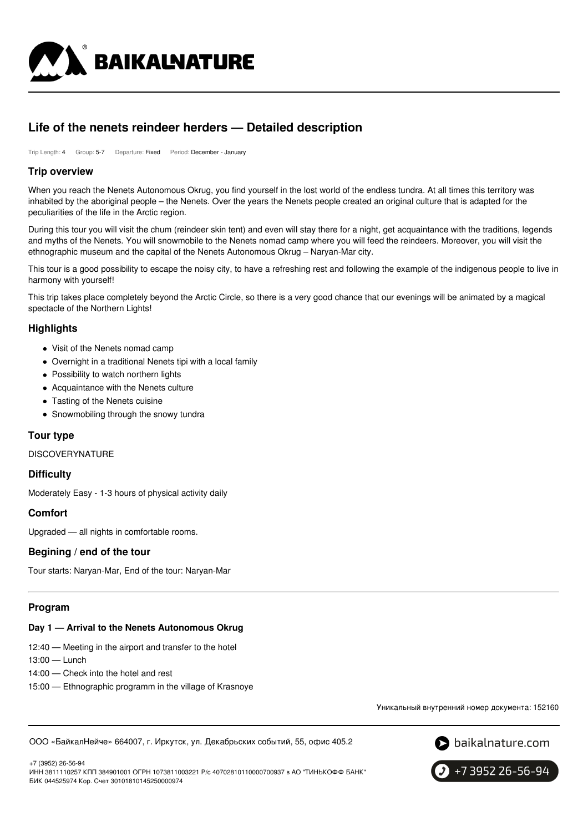

# **Life of the nenets reindeer herders — Detailed description**

Trip Length: 4 Group: 5-7 Departure: Fixed Period: December - January

### **Trip overview**

When you reach the Nenets Autonomous Okrug, you find yourself in the lost world of the endless tundra. At all times this territory was inhabited by the aboriginal people – the Nenets. Over the years the Nenets people created an original culture that is adapted for the peculiarities of the life in the Arctic region.

During this tour you will visit the chum (reindeer skin tent) and even will stay there for a night, get acquaintance with the traditions, legends and myths of the Nenets. You will snowmobile to the Nenets nomad camp where you will feed the reindeers. Moreover, you will visit the ethnographic museum and the capital of the Nenets Autonomous Okrug – Naryan-Mar city.

This tour is a good possibility to escape the noisy city, to have a refreshing rest and following the example of the indigenous people to live in harmony with yourself!

This trip takes place completely beyond the Arctic Circle, so there is a very good chance that our evenings will be animated by a magical spectacle of the Northern Lights!

## **Highlights**

- Visit of the Nenets nomad camp
- Overnight in a traditional Nenets tipi with a local family
- Possibility to watch northern lights
- Acquaintance with the Nenets culture
- Tasting of the Nenets cuisine
- Snowmobiling through the snowy tundra

#### **Tour type**

DISCOVERYNATURE

#### **Difficulty**

Moderately Easy - 1-3 hours of physical activity daily

# **Comfort**

Upgraded — all nights in comfortable rooms.

#### **Begining / end of the tour**

Tour starts: Naryan-Mar, End of the tour: Naryan-Mar

#### **Program**

#### **Day 1 — Arrival to the Nenets Autonomous Okrug**

- 12:40 Meeting in the airport and transfer to the hotel
- 13:00 Lunch
- 14:00 Check into the hotel and rest
- 15:00 Ethnographic programm in the village of Krasnoye

Уникальный внутренний номер документа: 152160

ООО «БайкалНейче» 664007, г. Иркутск, ул. Декабрьских событий, 55, офис 405.2



+7 (3952) 26-56-94 ИНН 3811110257 КПП 384901001 ОГРН 1073811003221 Р/с 40702810110000700937 в АО "ТИНЬКОФФ БАНК" БИК 044525974 Кор. Счет 30101810145250000974

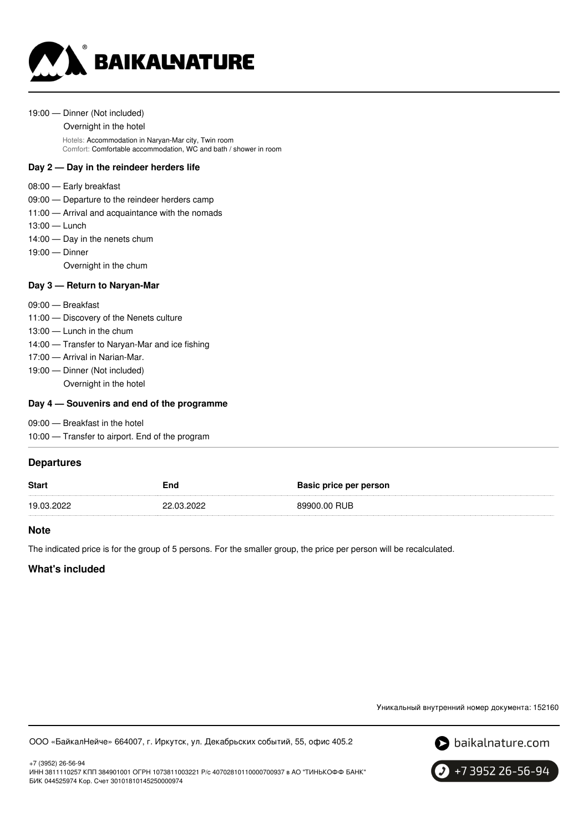

#### 19:00 — Dinner (Not included)

Overnight in the hotel

Hotels: Accommodation in Naryan-Mar city, Twin room Comfort: Comfortable accommodation, WC and bath / shower in room

## **Day 2 — Day in the reindeer herders life**

- 08:00 Early breakfast
- 09:00 Departure to the reindeer herders camp
- 11:00 Arrival and acquaintance with the nomads
- 13:00 Lunch
- 14:00 Day in the nenets chum
- 19:00 Dinner

Overnight in the chum

### **Day 3 — Return to Naryan-Mar**

- 09:00 Breakfast
- 11:00 Discovery of the Nenets culture
- 13:00 Lunch in the chum
- 14:00 Transfer to Naryan-Mar and ice fishing
- 17:00 Arrival in Narian-Mar.
- 19:00 Dinner (Not included)
	- Overnight in the hotel

### **Day 4 — Souvenirs and end of the programme**

09:00 — Breakfast in the hotel

10:00 — Transfer to airport. End of the program

## **Departures**

| <b>Start</b> | End        | <b>Basic price per person</b> |
|--------------|------------|-------------------------------|
| 19.03.2022   | 22.03.2022 | 89900.00 RUB                  |

### **Note**

The indicated price is for the group of 5 persons. For the smaller group, the price per person will be recalculated.

# **What's included**

+7 (3952) 26-56-94

Уникальный внутренний номер документа: 152160

ООО «БайкалНейче» 664007, г. Иркутск, ул. Декабрьских событий, 55, офис 405.2





ИНН 3811110257 КПП 384901001 ОГРН 1073811003221 Р/с 40702810110000700937 в АО "ТИНЬКОФФ БАНК" БИК 044525974 Кор. Счет 30101810145250000974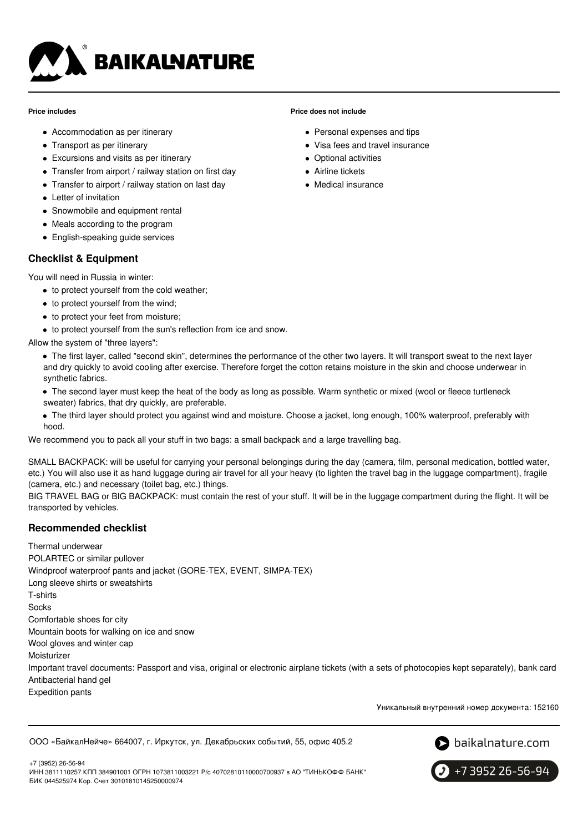

#### **Price includes**

- Accommodation as per itinerary
- Transport as per itinerary
- Excursions and visits as per itinerary
- Transfer from airport / railway station on first day
- Transfer to airport / railway station on last day
- Letter of invitation
- Snowmobile and equipment rental
- Meals according to the program
- English-speaking guide services

# **Checklist & Equipment**

You will need in Russia in winter:

- to protect yourself from the cold weather;
- to protect yourself from the wind;
- to protect your feet from moisture:
- to protect yourself from the sun's reflection from ice and snow.

Allow the system of "three layers":

- The first layer, called "second skin", determines the performance of the other two layers. It will transport sweat to the next layer and dry quickly to avoid cooling after exercise. Therefore forget the cotton retains moisture in the skin and choose underwear in synthetic fabrics.
- The second layer must keep the heat of the body as long as possible. Warm synthetic or mixed (wool or fleece turtleneck sweater) fabrics, that dry quickly, are preferable.
- The third layer should protect you against wind and moisture. Choose a jacket, long enough, 100% waterproof, preferably with hood.

We recommend you to pack all your stuff in two bags: a small backpack and a large travelling bag.

SMALL BACKPACK: will be useful for carrying your personal belongings during the day (camera, film, personal medication, bottled water, etc.) You will also use it as hand luggage during air travel for all your heavy (to lighten the travel bag in the luggage compartment), fragile (camera, etc.) and necessary (toilet bag, etc.) things.

BIG TRAVEL BAG or BIG BACKPACK: must contain the rest of your stuff. It will be in the luggage compartment during the flight. It will be transported by vehicles.

# **Recommended checklist**

Thermal underwear POLARTEC or similar pullover Windproof waterproof pants and jacket (GORE-TEX, EVENT, SIMPA-TEX) Long sleeve shirts or sweatshirts T-shirts **Socks** Comfortable shoes for city Mountain boots for walking on ice and snow Wool gloves and winter cap Moisturizer Important travel documents: Passport and visa, original or electronic airplane tickets (with a sets of photocopies kept separately), bank card Antibacterial hand gel Expedition pants

Уникальный внутренний номер документа: 152160

ООО «БайкалНейче» 664007, г. Иркутск, ул. Декабрьских событий, 55, офис 405.2



+7 (3952) 26-56-94 ИНН 3811110257 КПП 384901001 ОГРН 1073811003221 Р/с 40702810110000700937 в АО "ТИНЬКОФФ БАНК" БИК 044525974 Кор. Счет 30101810145250000974

+7 3952 26-56-94

## **Price does not include**

- Personal expenses and tips
- Visa fees and travel insurance
- Optional activities
- **Airline tickets**
- Medical insurance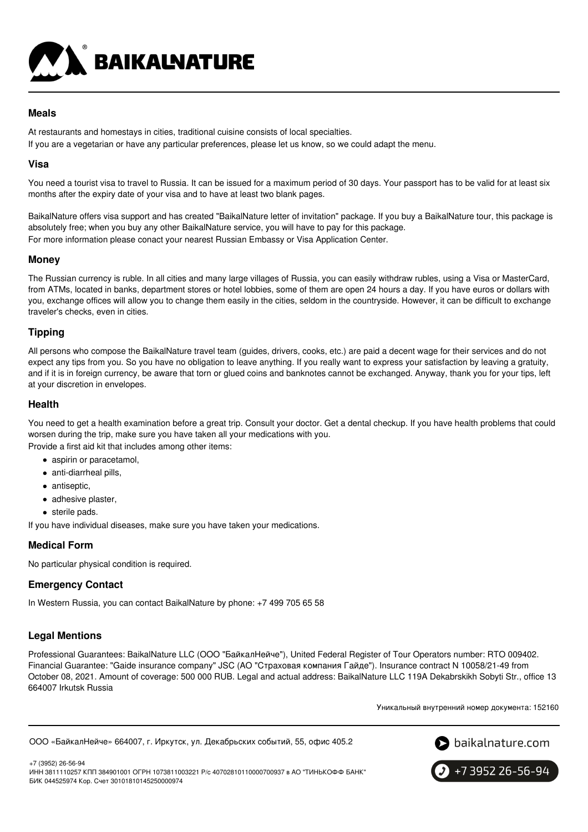

# **Meals**

At restaurants and homestays in cities, traditional cuisine consists of local specialties.

If you are a vegetarian or have any particular preferences, please let us know, so we could adapt the menu.

# **Visa**

You need a tourist visa to travel to Russia. It can be issued for a maximum period of 30 days. Your passport has to be valid for at least six months after the expiry date of your visa and to have at least two blank pages.

BaikalNature offers visa support and has created "BaikalNature letter of invitation" package. If you buy a BaikalNature tour, this package is absolutely free; when you buy any other BaikalNature service, you will have to pay for this package. For more information please conact your nearest Russian Embassy or Visa Application Center.

## **Money**

The Russian currency is ruble. In all cities and many large villages of Russia, you can easily withdraw rubles, using a Visa or MasterCard, from ATMs, located in banks, department stores or hotel lobbies, some of them are open 24 hours a day. If you have euros or dollars with you, exchange offices will allow you to change them easily in the cities, seldom in the countryside. However, it can be difficult to exchange traveler's checks, even in cities.

# **Tipping**

All persons who compose the BaikalNature travel team (guides, drivers, cooks, etc.) are paid a decent wage for their services and do not expect any tips from you. So you have no obligation to leave anything. If you really want to express your satisfaction by leaving a gratuity, and if it is in foreign currency, be aware that torn or glued coins and banknotes cannot be exchanged. Anyway, thank you for your tips, left at your discretion in envelopes.

## **Health**

You need to get a health examination before a great trip. Consult your doctor. Get a dental checkup. If you have health problems that could worsen during the trip, make sure you have taken all your medications with you.

Provide a first aid kit that includes among other items:

- aspirin or paracetamol,
- anti-diarrheal pills,
- antiseptic,
- adhesive plaster,
- sterile pads.

If you have individual diseases, make sure you have taken your medications.

# **Medical Form**

No particular physical condition is required.

# **Emergency Contact**

In Western Russia, you can contact BaikalNature by phone: +7 499 705 65 58

# **Legal Mentions**

Professional Guarantees: BaikalNature LLC (ООО "БайкалНейче"), United Federal Register of Tour Operators number: RTO 009402. Financial Guarantee: "Gaide insurance company" JSC (АО "Страховая компания Гайде"). Insurance contract N 10058/21-49 from October 08, 2021. Amount of coverage: 500 000 RUB. Legal and actual address: BaikalNature LLC 119А Dekabrskikh Sobyti Str., office 13 664007 Irkutsk Russia

Уникальный внутренний номер документа: 152160

```
ООО «БайкалНейче» 664007, г. Иркутск, ул. Декабрьских событий, 55, офис 405.2
```


+7 (3952) 26-56-94 ИНН 3811110257 КПП 384901001 ОГРН 1073811003221 Р/с 40702810110000700937 в АО "ТИНЬКОФФ БАНК" БИК 044525974 Кор. Счет 30101810145250000974